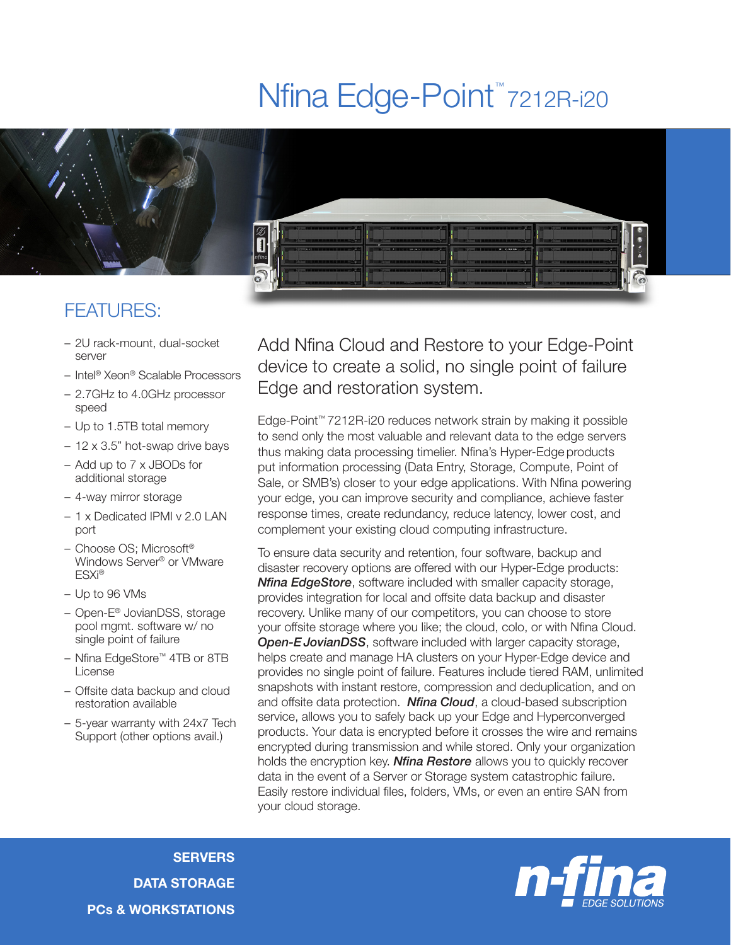## Nfina Edge-Point<sup>™</sup>7212R-i20



## FEATURES:

- 2U rack-mount, dual-socket server
- Intel® Xeon® Scalable Processors

 $\prod_{n \text{frac}}$ 

- 2.7GHz to 4.0GHz processor speed
- Up to 1.5TB total memory
- 12 x 3.5" hot-swap drive bays
- Add up to 7 x JBODs for additional storage
- 4-way mirror storage
- 1 x Dedicated IPMI v 2.0 LAN port
- Choose OS; Microsoft® Windows Server® or VMware ESXi®
- Up to 96 VMs
- Open-E® JovianDSS, storage pool mgmt. software w/ no single point of failure
- Nfina EdgeStore™ 4TB or 8TB License
- Offsite data backup and cloud restoration available
- 5-year warranty with 24x7 Tech Support (other options avail.)

Add Nfina Cloud and Restore to your Edge-Point device to create a solid, no single point of failure Edge and restoration system.

Edge-Point™ 7212R-i20 reduces network strain by making it possible to send only the most valuable and relevant data to the edge servers thus making data processing timelier. Nfina's Hyper-Edge products put information processing (Data Entry, Storage, Compute, Point of Sale, or SMB's) closer to your edge applications. With Nfina powering your edge, you can improve security and compliance, achieve faster response times, create redundancy, reduce latency, lower cost, and complement your existing cloud computing infrastructure.

To ensure data security and retention, four software, backup and disaster recovery options are offered with our Hyper-Edge products: *Nfina EdgeStore*, software included with smaller capacity storage, provides integration for local and offsite data backup and disaster recovery. Unlike many of our competitors, you can choose to store your offsite storage where you like; the cloud, colo, or with Nfina Cloud. **Open-E JovianDSS**, software included with larger capacity storage, helps create and manage HA clusters on your Hyper-Edge device and provides no single point of failure. Features include tiered RAM, unlimited snapshots with instant restore, compression and deduplication, and on and offsite data protection. *Nfina Cloud*, a cloud-based subscription service, allows you to safely back up your Edge and Hyperconverged products. Your data is encrypted before it crosses the wire and remains encrypted during transmission and while stored. Only your organization holds the encryption key. *Nfina Restore* allows you to quickly recover data in the event of a Server or Storage system catastrophic failure. Easily restore individual files, folders, VMs, or even an entire SAN from your cloud storage.

**SERVERS** DATA STORAGE PCs & WORKSTATIONS

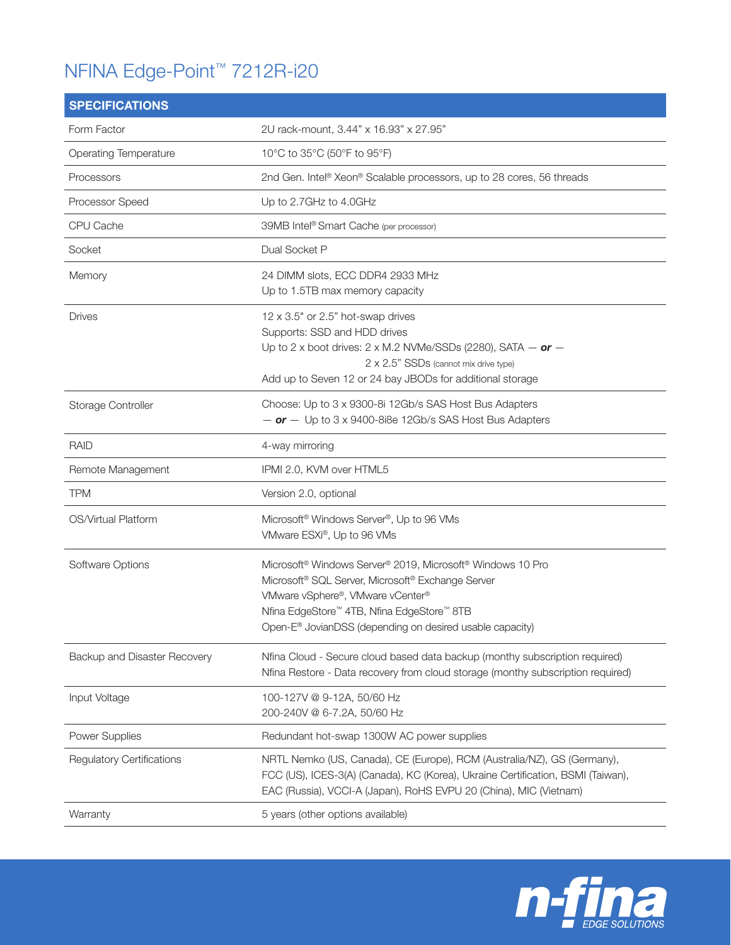## NFINA Edge-Point™ 7212R-i20

| <b>SPECIFICATIONS</b>            |                                                                                                                                                                                                                                                                                                                           |
|----------------------------------|---------------------------------------------------------------------------------------------------------------------------------------------------------------------------------------------------------------------------------------------------------------------------------------------------------------------------|
| Form Factor                      | 2U rack-mount, 3.44" x 16.93" x 27.95"                                                                                                                                                                                                                                                                                    |
| <b>Operating Temperature</b>     | 10°C to 35°C (50°F to 95°F)                                                                                                                                                                                                                                                                                               |
| Processors                       | 2nd Gen. Intel® Xeon® Scalable processors, up to 28 cores, 56 threads                                                                                                                                                                                                                                                     |
| Processor Speed                  | Up to 2.7GHz to 4.0GHz                                                                                                                                                                                                                                                                                                    |
| CPU Cache                        | 39MB Intel <sup>®</sup> Smart Cache (per processor)                                                                                                                                                                                                                                                                       |
| Socket                           | Dual Socket P                                                                                                                                                                                                                                                                                                             |
| Memory                           | 24 DIMM slots, ECC DDR4 2933 MHz<br>Up to 1.5TB max memory capacity                                                                                                                                                                                                                                                       |
| <b>Drives</b>                    | $12 \times 3.5$ " or 2.5" hot-swap drives<br>Supports: SSD and HDD drives<br>Up to 2 x boot drives: $2 \times M.2$ NVMe/SSDs (2280), SATA $-$ or $-$<br>2 x 2.5" SSDs (cannot mix drive type)<br>Add up to Seven 12 or 24 bay JBODs for additional storage                                                                |
| Storage Controller               | Choose: Up to 3 x 9300-8i 12Gb/s SAS Host Bus Adapters<br>$-$ or $-$ Up to 3 x 9400-8i8e 12Gb/s SAS Host Bus Adapters                                                                                                                                                                                                     |
| <b>RAID</b>                      | 4-way mirroring                                                                                                                                                                                                                                                                                                           |
| Remote Management                | IPMI 2.0, KVM over HTML5                                                                                                                                                                                                                                                                                                  |
| <b>TPM</b>                       | Version 2.0, optional                                                                                                                                                                                                                                                                                                     |
| OS/Virtual Platform              | Microsoft <sup>®</sup> Windows Server <sup>®</sup> , Up to 96 VMs<br>VMware ESXi®, Up to 96 VMs                                                                                                                                                                                                                           |
| Software Options                 | Microsoft <sup>®</sup> Windows Server <sup>®</sup> 2019, Microsoft <sup>®</sup> Windows 10 Pro<br>Microsoft <sup>®</sup> SQL Server, Microsoft <sup>®</sup> Exchange Server<br>VMware vSphere®, VMware vCenter®<br>Nfina EdgeStore™ 4TB, Nfina EdgeStore™ 8TB<br>Open-E® JovianDSS (depending on desired usable capacity) |
| Backup and Disaster Recovery     | Nfina Cloud - Secure cloud based data backup (monthy subscription required)<br>Nfina Restore - Data recovery from cloud storage (monthy subscription required)                                                                                                                                                            |
| Input Voltage                    | 100-127V @ 9-12A, 50/60 Hz<br>200-240V @ 6-7.2A, 50/60 Hz                                                                                                                                                                                                                                                                 |
| <b>Power Supplies</b>            | Redundant hot-swap 1300W AC power supplies                                                                                                                                                                                                                                                                                |
| <b>Regulatory Certifications</b> | NRTL Nemko (US, Canada), CE (Europe), RCM (Australia/NZ), GS (Germany),<br>FCC (US), ICES-3(A) (Canada), KC (Korea), Ukraine Certification, BSMI (Taiwan),<br>EAC (Russia), VCCI-A (Japan), RoHS EVPU 20 (China), MIC (Vietnam)                                                                                           |
| Warranty                         | 5 years (other options available)                                                                                                                                                                                                                                                                                         |